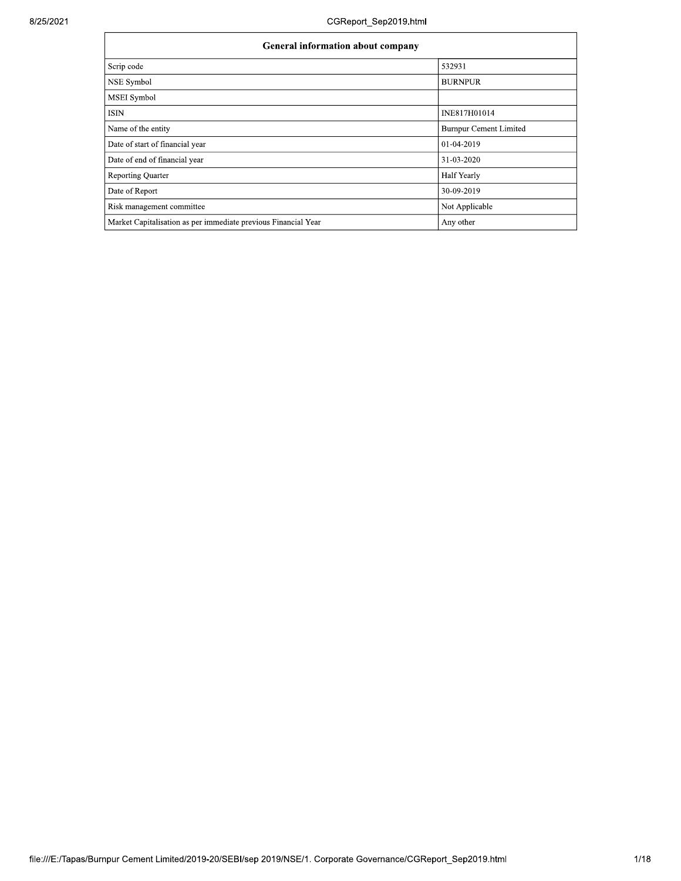| <b>General information about company</b>                       |                               |  |  |  |  |
|----------------------------------------------------------------|-------------------------------|--|--|--|--|
| Scrip code                                                     | 532931                        |  |  |  |  |
| NSE Symbol                                                     | <b>BURNPUR</b>                |  |  |  |  |
| <b>MSEI</b> Symbol                                             |                               |  |  |  |  |
| <b>ISIN</b>                                                    | INE817H01014                  |  |  |  |  |
| Name of the entity                                             | <b>Burnpur Cement Limited</b> |  |  |  |  |
| Date of start of financial year                                | 01-04-2019                    |  |  |  |  |
| Date of end of financial year                                  | 31-03-2020                    |  |  |  |  |
| <b>Reporting Quarter</b>                                       | Half Yearly                   |  |  |  |  |
| Date of Report                                                 | 30-09-2019                    |  |  |  |  |
| Risk management committee                                      | Not Applicable                |  |  |  |  |
| Market Capitalisation as per immediate previous Financial Year | Any other                     |  |  |  |  |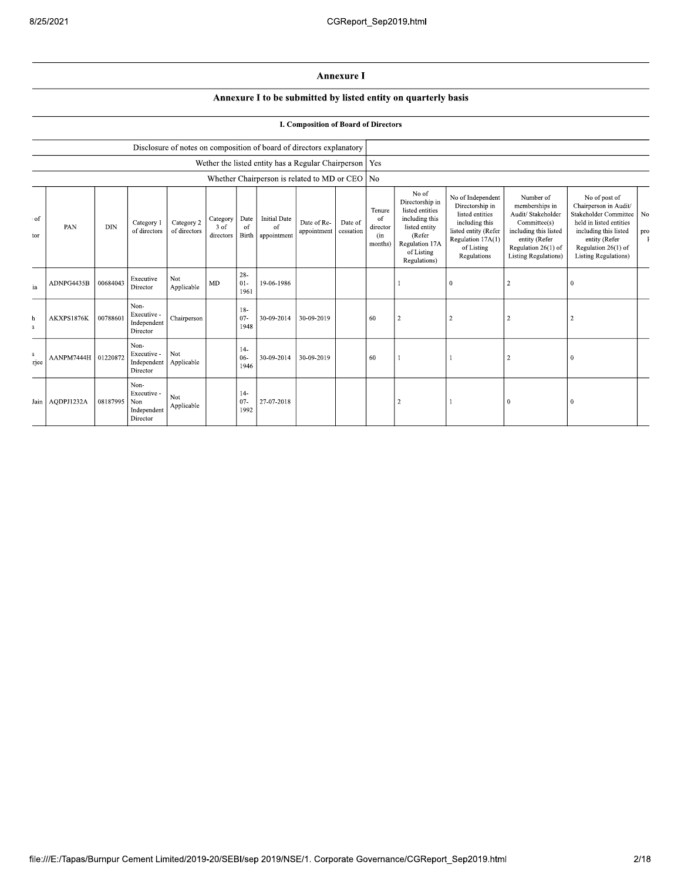## **Annexure I**

## Annexure I to be submitted by listed entity on quarterly basis

## **I. Composition of Board of Directors**

|                        |                       |            |                                                       |                            |                                 |                            |                                          | Disclosure of notes on composition of board of directors explanatory |                      |                                            |                                                                                                                                          |                                                                                                                                                     |                                                                                                                                                                   |                                                                                                                                                                                                   |           |
|------------------------|-----------------------|------------|-------------------------------------------------------|----------------------------|---------------------------------|----------------------------|------------------------------------------|----------------------------------------------------------------------|----------------------|--------------------------------------------|------------------------------------------------------------------------------------------------------------------------------------------|-----------------------------------------------------------------------------------------------------------------------------------------------------|-------------------------------------------------------------------------------------------------------------------------------------------------------------------|---------------------------------------------------------------------------------------------------------------------------------------------------------------------------------------------------|-----------|
|                        |                       |            |                                                       |                            |                                 |                            |                                          | Wether the listed entity has a Regular Chairperson                   |                      | <b>Yes</b>                                 |                                                                                                                                          |                                                                                                                                                     |                                                                                                                                                                   |                                                                                                                                                                                                   |           |
|                        |                       |            |                                                       |                            |                                 |                            |                                          | Whether Chairperson is related to MD or CEO $\vert$ No               |                      |                                            |                                                                                                                                          |                                                                                                                                                     |                                                                                                                                                                   |                                                                                                                                                                                                   |           |
| : of<br>tor            | PAN                   | <b>DIN</b> | Category 1<br>of directors                            | Category 2<br>of directors | Category<br>$3$ of<br>directors | Date<br>of<br><b>Birth</b> | <b>Initial Date</b><br>of<br>appointment | Date of Re-<br>appointment                                           | Date of<br>cessation | Tenure<br>of<br>director<br>(in<br>months) | No of<br>Directorship in<br>listed entities<br>including this<br>listed entity<br>(Refer<br>Regulation 17A<br>of Listing<br>Regulations) | No of Independent<br>Directorship in<br>listed entities<br>including this<br>listed entity (Refer<br>Regulation 17A(1)<br>of Listing<br>Regulations | Number of<br>memberships in<br>Audit/ Stakeholder<br>Committee(s)<br>including this listed<br>entity (Refer<br>Regulation 26(1) of<br><b>Listing Regulations)</b> | No of post of<br>Chairperson in Audit/<br><b>Stakeholder Committee</b><br>held in listed entities<br>including this listed<br>entity (Refer<br>Regulation 26(1) of<br><b>Listing Regulations)</b> | No<br>pro |
| ia                     | ADNPG4435B            | 00684043   | Executive<br>Director                                 | Not<br>Applicable          | <b>MD</b>                       | $28 -$<br>$01-$<br>1961    | 19-06-1986                               |                                                                      |                      |                                            |                                                                                                                                          | $\bf{0}$                                                                                                                                            | 2                                                                                                                                                                 | 0                                                                                                                                                                                                 |           |
| h<br>$\mathbf{a}$      | AKXPS1876K            | 00788601   | Non-<br>Executive -<br>Independent<br>Director        | Chairperson                |                                 | $18-$<br>$07 -$<br>1948    | 30-09-2014                               | 30-09-2019                                                           |                      | 60                                         | $\overline{c}$                                                                                                                           | $\overline{2}$                                                                                                                                      |                                                                                                                                                                   | 2                                                                                                                                                                                                 |           |
| $\overline{a}$<br>riee | AANPM7444H   01220872 |            | Non-<br>Executive -<br>Independent<br>Director        | Not<br>Applicable          |                                 | $14-$<br>$06 -$<br>1946    | 30-09-2014                               | 30-09-2019                                                           |                      | 60                                         |                                                                                                                                          |                                                                                                                                                     | $\overline{\mathbf{c}}$                                                                                                                                           | $\mathbf{0}$                                                                                                                                                                                      |           |
|                        | Jain   AQDPJ1232A     | 08187995   | Non-<br>Executive -<br>Non<br>Independent<br>Director | Not<br>Applicable          |                                 | $14-$<br>07<br>1992        | 27-07-2018                               |                                                                      |                      |                                            | 2                                                                                                                                        |                                                                                                                                                     | $\Omega$                                                                                                                                                          | $\Omega$                                                                                                                                                                                          |           |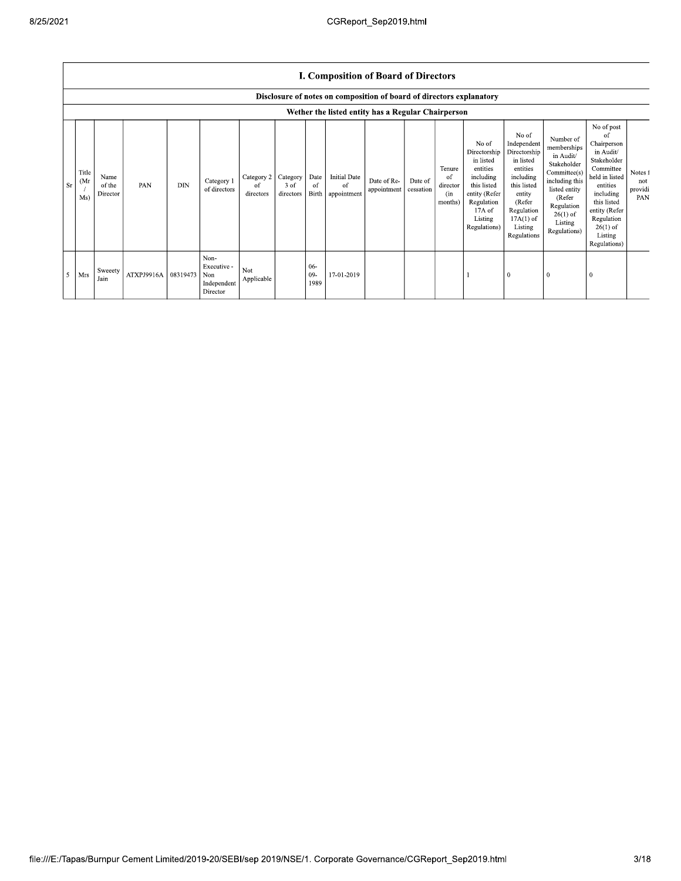$\mathsf{r}$ 

|           | I. Composition of Board of Directors                                                                                       |                            |                     |            |                                                       |                               |                               |                       |                                                  |                            |                      |                                            |                                                                                                                                                |                                                                                                                                                                      |                                                                                                                                                                          |                                                                                                                                                                                                            |                                  |
|-----------|----------------------------------------------------------------------------------------------------------------------------|----------------------------|---------------------|------------|-------------------------------------------------------|-------------------------------|-------------------------------|-----------------------|--------------------------------------------------|----------------------------|----------------------|--------------------------------------------|------------------------------------------------------------------------------------------------------------------------------------------------|----------------------------------------------------------------------------------------------------------------------------------------------------------------------|--------------------------------------------------------------------------------------------------------------------------------------------------------------------------|------------------------------------------------------------------------------------------------------------------------------------------------------------------------------------------------------------|----------------------------------|
|           | Disclosure of notes on composition of board of directors explanatory<br>Wether the listed entity has a Regular Chairperson |                            |                     |            |                                                       |                               |                               |                       |                                                  |                            |                      |                                            |                                                                                                                                                |                                                                                                                                                                      |                                                                                                                                                                          |                                                                                                                                                                                                            |                                  |
| <b>Sr</b> | Title<br>(Mr<br>Ms)                                                                                                        | Name<br>of the<br>Director | PAN                 | <b>DIN</b> | Category 1<br>of directors                            | Category 2<br>of<br>directors | Category<br>3 of<br>directors | Date<br>of            | <b>Initial Date</b><br>of<br>Birth   appointment | Date of Re-<br>appointment | Date of<br>cessation | Tenure<br>of<br>director<br>(in<br>months) | No of<br>Directorship<br>in listed<br>entities<br>including<br>this listed<br>entity (Refer<br>Regulation<br>17A of<br>Listing<br>Regulations) | No of<br>Independent<br>Directorship<br>in listed<br>entities<br>including<br>this listed<br>entity<br>(Refer<br>Regulation<br>$17A(1)$ of<br>Listing<br>Regulations | Number of<br>memberships<br>in Audit/<br>Stakeholder<br>Committee(s)<br>including this<br>listed entity<br>(Refer<br>Regulation<br>$26(1)$ of<br>Listing<br>Regulations) | No of post<br>of<br>Chairperson<br>in Audit/<br>Stakeholder<br>Committee<br>held in listed<br>entities<br>including<br>this listed<br>entity (Refer<br>Regulation<br>$26(1)$ of<br>Listing<br>Regulations) | Notes f<br>not<br>providi<br>PAN |
| 5         | Mrs                                                                                                                        | Sweeety<br>Jain            | ATXPJ9916A 08319473 |            | Non-<br>Executive -<br>Non<br>Independent<br>Director | Not<br>Applicable             |                               | $06 -$<br>09-<br>1989 | 17-01-2019                                       |                            |                      |                                            |                                                                                                                                                |                                                                                                                                                                      | $\overline{0}$                                                                                                                                                           |                                                                                                                                                                                                            |                                  |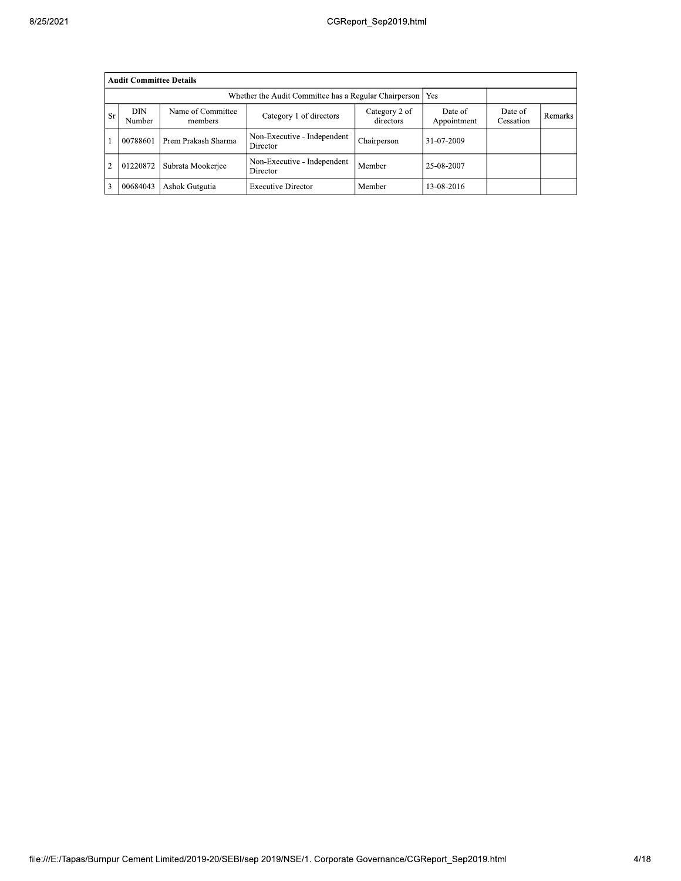|                | <b>Audit Committee Details</b> |                              |                                         |                            |                        |                      |                |  |  |  |
|----------------|--------------------------------|------------------------------|-----------------------------------------|----------------------------|------------------------|----------------------|----------------|--|--|--|
|                |                                |                              |                                         |                            |                        |                      |                |  |  |  |
| <b>Sr</b>      | DIN<br>Number                  | Name of Committee<br>members | Category 1 of directors                 | Category 2 of<br>directors | Date of<br>Appointment | Date of<br>Cessation | <b>Remarks</b> |  |  |  |
|                | 00788601                       | Prem Prakash Sharma          | Non-Executive - Independent<br>Director | Chairperson                | 31-07-2009             |                      |                |  |  |  |
| $\overline{2}$ | 01220872                       | Subrata Mookerjee            | Non-Executive - Independent<br>Director | Member                     | 25-08-2007             |                      |                |  |  |  |
| 3              | 00684043                       | Ashok Gutgutia               | <b>Executive Director</b>               | Member                     | 13-08-2016             |                      |                |  |  |  |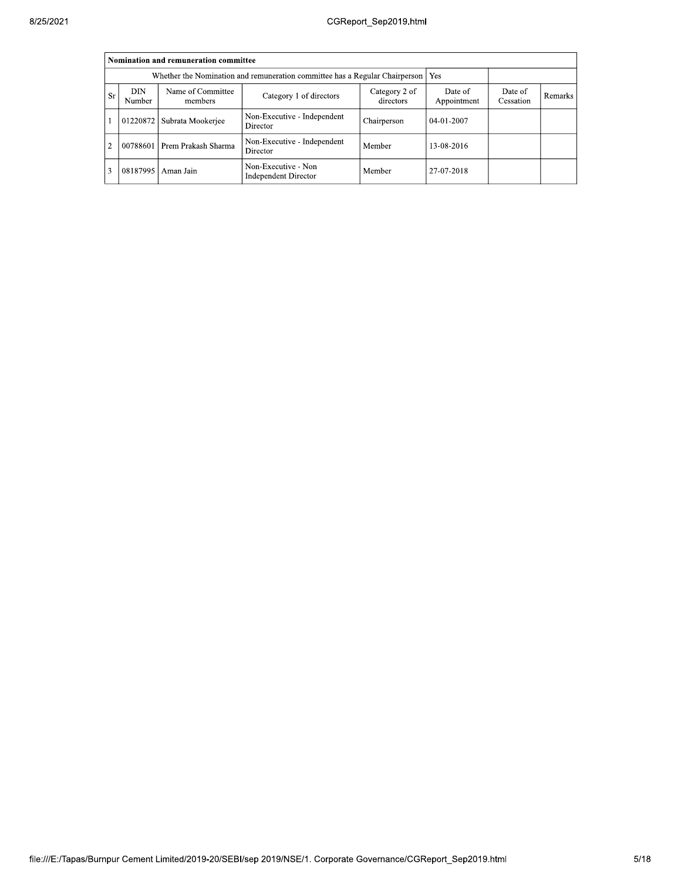|               | Nomination and remuneration committee |                                                                                   |                                                    |                      |                  |  |  |  |  |  |
|---------------|---------------------------------------|-----------------------------------------------------------------------------------|----------------------------------------------------|----------------------|------------------|--|--|--|--|--|
|               |                                       | Whether the Nomination and remuneration committee has a Regular Chairperson   Yes |                                                    |                      |                  |  |  |  |  |  |
| <b>Sr</b>     | DIN<br>Number                         | Name of Committee<br>members                                                      | Date of<br>Appointment                             | Date of<br>Cessation | Remarks          |  |  |  |  |  |
|               | 01220872                              | Subrata Mookerjee                                                                 | Non-Executive - Independent<br>Director            | Chairperson          | $04 - 01 - 2007$ |  |  |  |  |  |
| $\mathcal{D}$ | 00788601                              | Prem Prakash Sharma                                                               | Non-Executive - Independent<br>Director            | Member               | 13-08-2016       |  |  |  |  |  |
|               | 08187995                              | Aman Jain                                                                         | Non-Executive - Non<br><b>Independent Director</b> | Member               | 27-07-2018       |  |  |  |  |  |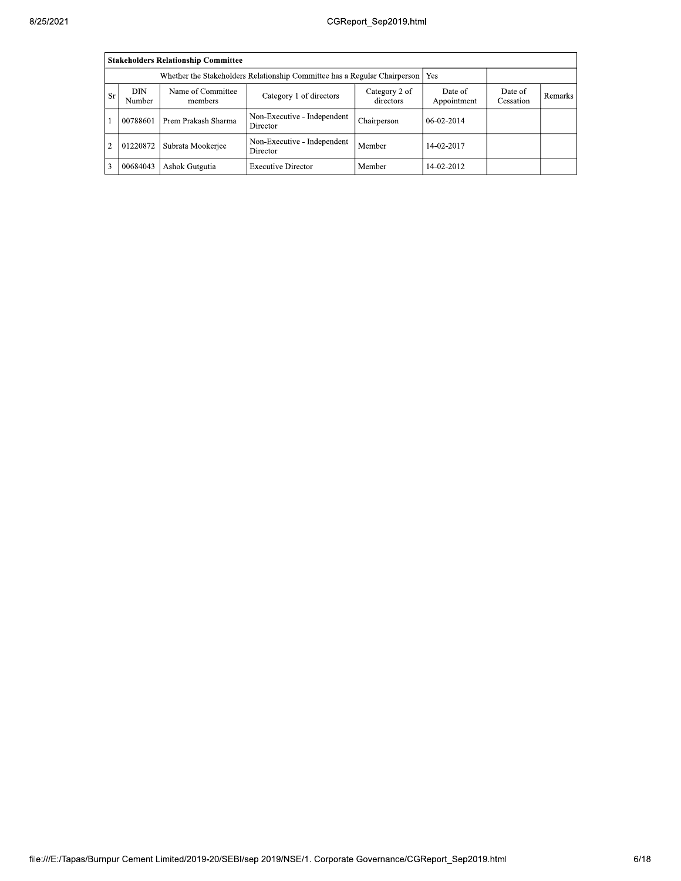|                | <b>Stakeholders Relationship Committee</b> |                                                                                  |                                         |                        |                      |         |  |  |  |  |
|----------------|--------------------------------------------|----------------------------------------------------------------------------------|-----------------------------------------|------------------------|----------------------|---------|--|--|--|--|
|                |                                            | Whether the Stakeholders Relationship Committee has a Regular Chairperson<br>Yes |                                         |                        |                      |         |  |  |  |  |
| <b>Sr</b>      | DIN<br>Number                              | Name of Committee<br>members                                                     | Category 2 of<br>directors              | Date of<br>Appointment | Date of<br>Cessation | Remarks |  |  |  |  |
|                | 00788601                                   | Prem Prakash Sharma                                                              | Non-Executive - Independent<br>Director | Chairperson            | $06-02-2014$         |         |  |  |  |  |
| $\overline{2}$ | 01220872                                   | Subrata Mookerjee                                                                | Non-Executive - Independent<br>Director | Member                 | 14-02-2017           |         |  |  |  |  |
| 3              | 00684043                                   | Ashok Gutgutia                                                                   | <b>Executive Director</b>               | Member                 | 14-02-2012           |         |  |  |  |  |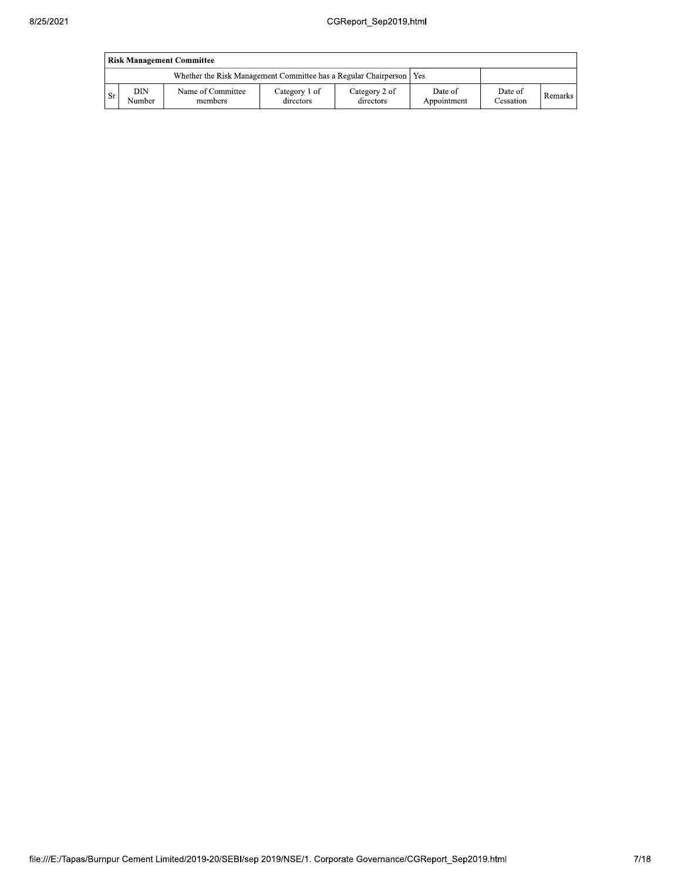| <b>Risk Management Committee</b> |               |                                                                       |                            |                            |                        |                             |         |  |
|----------------------------------|---------------|-----------------------------------------------------------------------|----------------------------|----------------------------|------------------------|-----------------------------|---------|--|
|                                  |               | Whether the Risk Management Committee has a Regular Chairperson   Yes |                            |                            |                        |                             |         |  |
| . Sr                             | DIN<br>Number | Name of Committee<br>members                                          | Category 1 of<br>directors | Category 2 of<br>directors | Date of<br>Appointment | Date of<br><b>Cessation</b> | Remarks |  |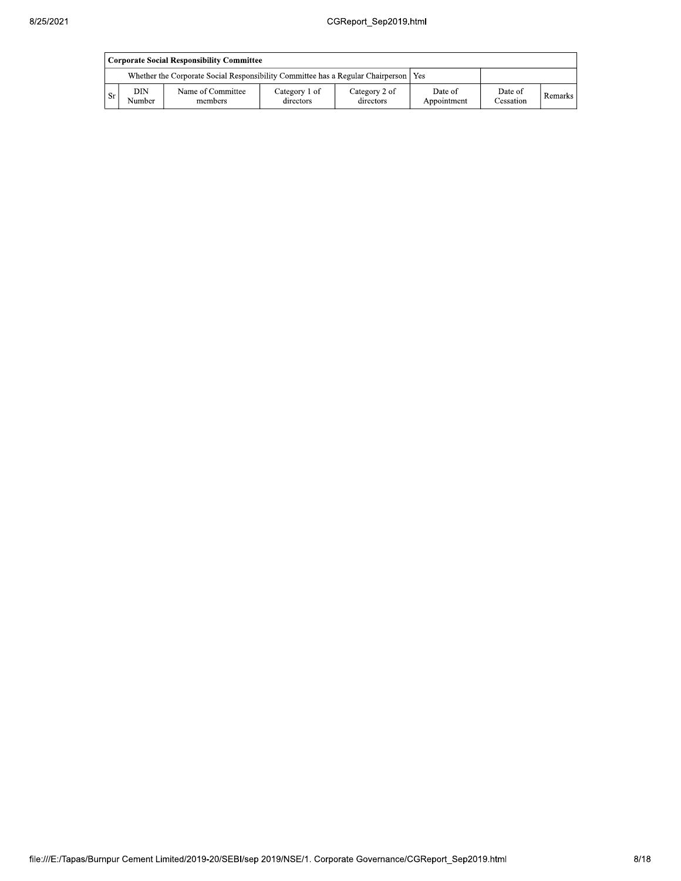|      | Corporate Social Responsibility Committee |                                                                                       |                            |                            |                        |                      |           |  |  |
|------|-------------------------------------------|---------------------------------------------------------------------------------------|----------------------------|----------------------------|------------------------|----------------------|-----------|--|--|
|      |                                           | Whether the Corporate Social Responsibility Committee has a Regular Chairperson   Yes |                            |                            |                        |                      |           |  |  |
| - Sr | DIN<br>Number                             | Name of Committee<br>members                                                          | Category 1 of<br>directors | Category 2 of<br>directors | Date of<br>Appointment | Date of<br>Cessation | Remarks I |  |  |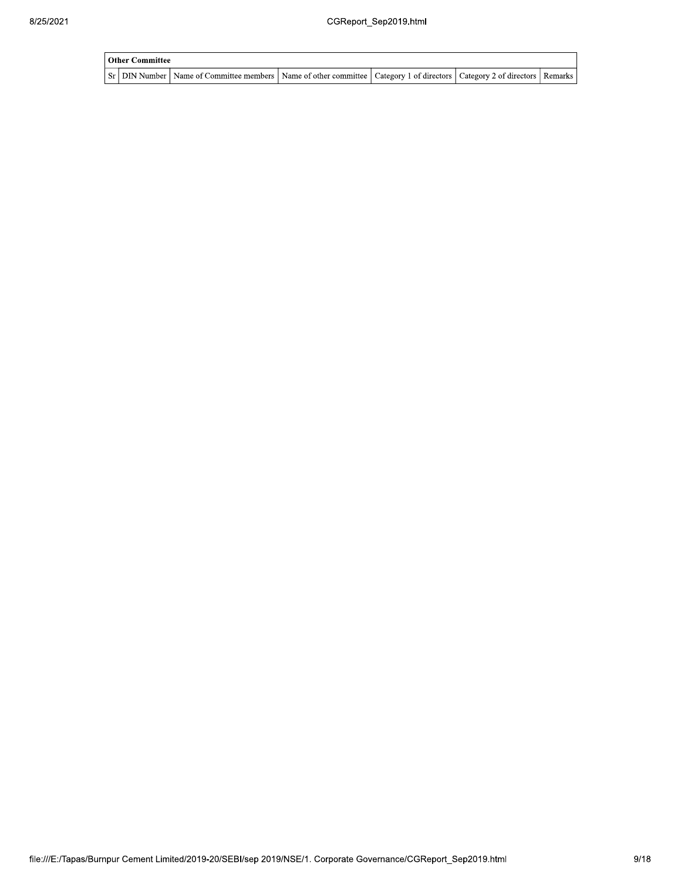| Other Committee |                                                                                                                                     |  |  |
|-----------------|-------------------------------------------------------------------------------------------------------------------------------------|--|--|
|                 | Sr   DIN Number   Name of Committee members   Name of other committee   Category 1 of directors   Category 2 of directors   Remarks |  |  |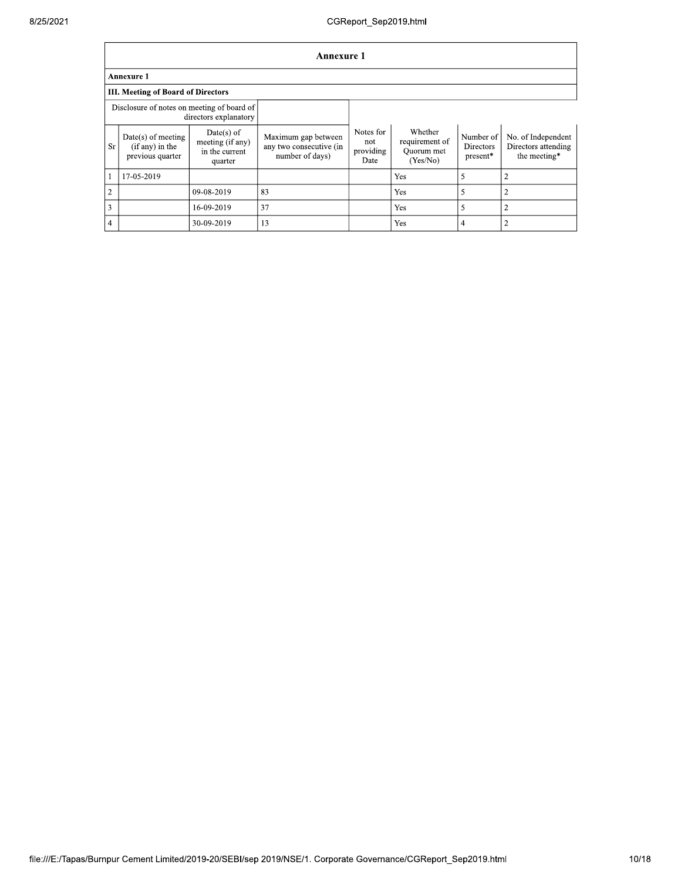|                | <b>Annexure 1</b>                                                   |                                                               |                                                                   |                                       |                                                     |                                           |                                                           |  |
|----------------|---------------------------------------------------------------------|---------------------------------------------------------------|-------------------------------------------------------------------|---------------------------------------|-----------------------------------------------------|-------------------------------------------|-----------------------------------------------------------|--|
|                | <b>Annexure 1</b>                                                   |                                                               |                                                                   |                                       |                                                     |                                           |                                                           |  |
|                | <b>III. Meeting of Board of Directors</b>                           |                                                               |                                                                   |                                       |                                                     |                                           |                                                           |  |
|                | Disclosure of notes on meeting of board of<br>directors explanatory |                                                               |                                                                   |                                       |                                                     |                                           |                                                           |  |
| <b>Sr</b>      | $Date(s)$ of meeting<br>$(if any)$ in the<br>previous quarter       | $Date(s)$ of<br>meeting (if any)<br>in the current<br>quarter | Maximum gap between<br>any two consecutive (in<br>number of days) | Notes for<br>not<br>providing<br>Date | Whether<br>requirement of<br>Ouorum met<br>(Yes/No) | Number of<br><b>Directors</b><br>present* | No. of Independent<br>Directors attending<br>the meeting* |  |
| -1             | 17-05-2019                                                          |                                                               |                                                                   |                                       | Yes                                                 | 5                                         | $\overline{2}$                                            |  |
| $\overline{2}$ |                                                                     | 09-08-2019                                                    | 83                                                                |                                       | Yes                                                 | 5                                         | $\overline{2}$                                            |  |
| 3              |                                                                     | 16-09-2019                                                    | 37                                                                |                                       | Yes                                                 | 5                                         | $\overline{2}$                                            |  |
| $\overline{4}$ |                                                                     | 30-09-2019                                                    | 13                                                                |                                       | Yes                                                 | 4                                         | $\overline{2}$                                            |  |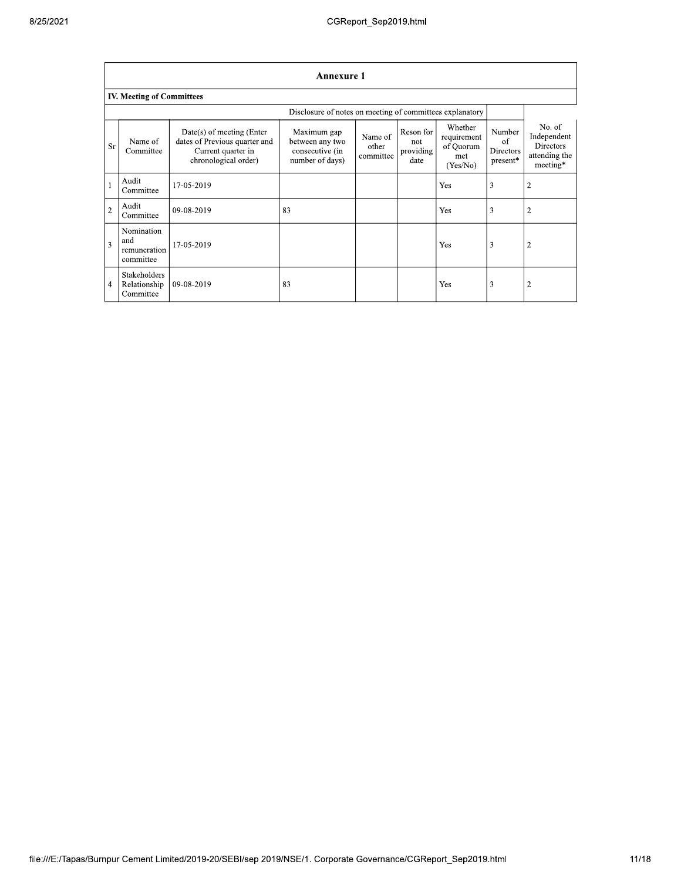|                | <b>Annexure 1</b>                              |                                                                                                          |                                                                      |                               |                                       |                                                        |                                                      |                                                                        |  |
|----------------|------------------------------------------------|----------------------------------------------------------------------------------------------------------|----------------------------------------------------------------------|-------------------------------|---------------------------------------|--------------------------------------------------------|------------------------------------------------------|------------------------------------------------------------------------|--|
|                | <b>IV. Meeting of Committees</b>               |                                                                                                          |                                                                      |                               |                                       |                                                        |                                                      |                                                                        |  |
|                |                                                |                                                                                                          | Disclosure of notes on meeting of committees explanatory             |                               |                                       |                                                        |                                                      |                                                                        |  |
| <b>Sr</b>      | Name of<br>Committee                           | Date(s) of meeting (Enter<br>dates of Previous quarter and<br>Current quarter in<br>chronological order) | Maximum gap<br>between any two<br>consecutive (in<br>number of days) | Name of<br>other<br>committee | Reson for<br>not<br>providing<br>date | Whether<br>requirement<br>of Quorum<br>met<br>(Yes/No) | Number<br>of<br>Directors<br>$\, {\rm present}^* \,$ | No. of<br>Independent<br><b>Directors</b><br>attending the<br>meeting* |  |
| $\mathbf{1}$   | Audit<br>Committee                             | 17-05-2019                                                                                               |                                                                      |                               |                                       | Yes                                                    | 3                                                    | $\overline{2}$                                                         |  |
| $\overline{2}$ | Audit<br>Committee                             | 09-08-2019                                                                                               | 83                                                                   |                               |                                       | Yes                                                    | 3                                                    | $\overline{2}$                                                         |  |
| $\overline{3}$ | Nomination<br>and<br>remuneration<br>committee | 17-05-2019                                                                                               |                                                                      |                               |                                       | Yes                                                    | 3                                                    | $\overline{2}$                                                         |  |
| 4              | Stakeholders<br>Relationship<br>Committee      | 09-08-2019                                                                                               | 83                                                                   |                               |                                       | Yes                                                    | 3                                                    | $\overline{2}$                                                         |  |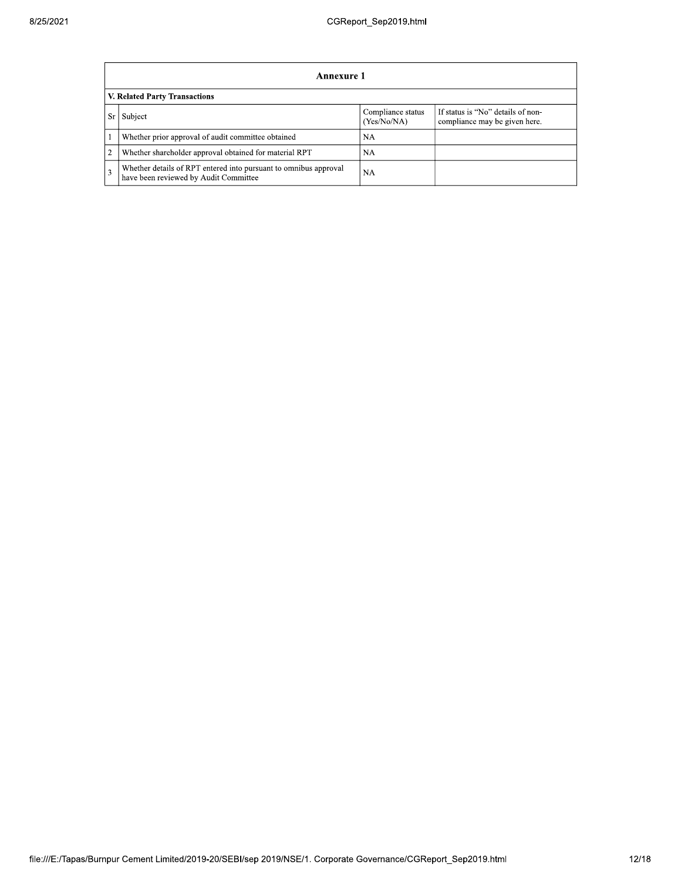|                | Annexure 1                                                                                                |                                  |                                                                    |  |  |  |  |
|----------------|-----------------------------------------------------------------------------------------------------------|----------------------------------|--------------------------------------------------------------------|--|--|--|--|
|                | V. Related Party Transactions                                                                             |                                  |                                                                    |  |  |  |  |
| Sr             | Subject                                                                                                   | Compliance status<br>(Yes/No/NA) | If status is "No" details of non-<br>compliance may be given here. |  |  |  |  |
|                | Whether prior approval of audit committee obtained                                                        | NA                               |                                                                    |  |  |  |  |
| $\overline{2}$ | Whether shareholder approval obtained for material RPT                                                    | <b>NA</b>                        |                                                                    |  |  |  |  |
| 3              | Whether details of RPT entered into pursuant to omnibus approval<br>have been reviewed by Audit Committee | <b>NA</b>                        |                                                                    |  |  |  |  |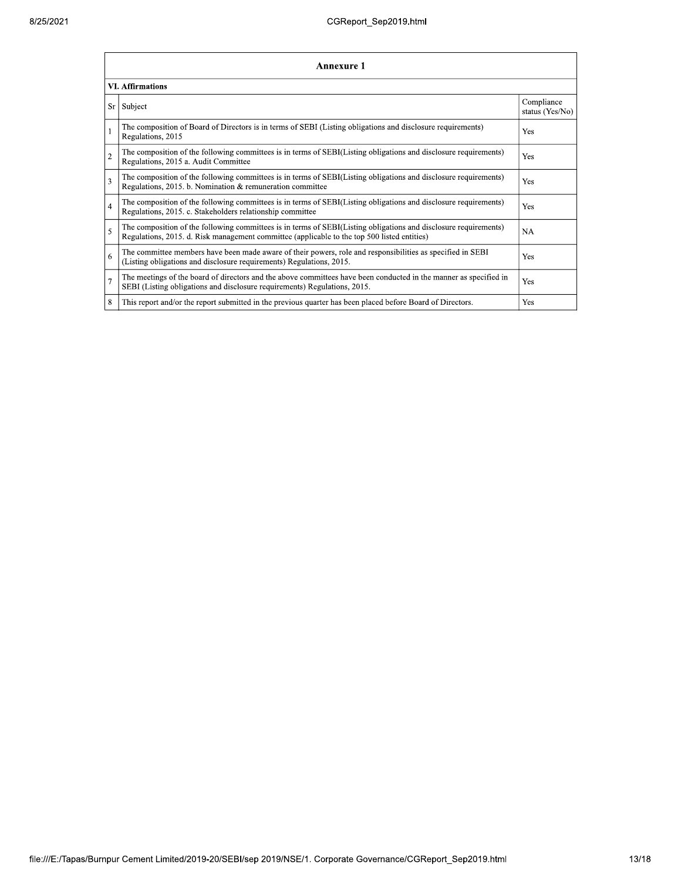|                         | Annexure 1                                                                                                                                                                                                      |                               |  |  |  |
|-------------------------|-----------------------------------------------------------------------------------------------------------------------------------------------------------------------------------------------------------------|-------------------------------|--|--|--|
| <b>VI.</b> Affirmations |                                                                                                                                                                                                                 |                               |  |  |  |
| Sr                      | Subject                                                                                                                                                                                                         | Compliance<br>status (Yes/No) |  |  |  |
|                         | The composition of Board of Directors is in terms of SEBI (Listing obligations and disclosure requirements)<br>Regulations, 2015                                                                                | Yes                           |  |  |  |
| $\overline{2}$          | The composition of the following committees is in terms of SEBI(Listing obligations and disclosure requirements)<br>Regulations, 2015 a. Audit Committee                                                        | Yes                           |  |  |  |
| 3                       | The composition of the following committees is in terms of SEBI(Listing obligations and disclosure requirements)<br>Regulations, 2015. b. Nomination & remuneration committee                                   | Yes                           |  |  |  |
| $\overline{4}$          | The composition of the following committees is in terms of SEBI(Listing obligations and disclosure requirements)<br>Regulations, 2015. c. Stakeholders relationship committee                                   | Yes                           |  |  |  |
| 5                       | The composition of the following committees is in terms of SEBI(Listing obligations and disclosure requirements)<br>Regulations, 2015. d. Risk management committee (applicable to the top 500 listed entities) | <b>NA</b>                     |  |  |  |
| 6                       | The committee members have been made aware of their powers, role and responsibilities as specified in SEBI<br>(Listing obligations and disclosure requirements) Regulations, 2015.                              | Yes                           |  |  |  |
| $\overline{7}$          | The meetings of the board of directors and the above committees have been conducted in the manner as specified in<br>SEBI (Listing obligations and disclosure requirements) Regulations, 2015.                  | Yes                           |  |  |  |
| 8                       | This report and/or the report submitted in the previous quarter has been placed before Board of Directors.                                                                                                      | Yes                           |  |  |  |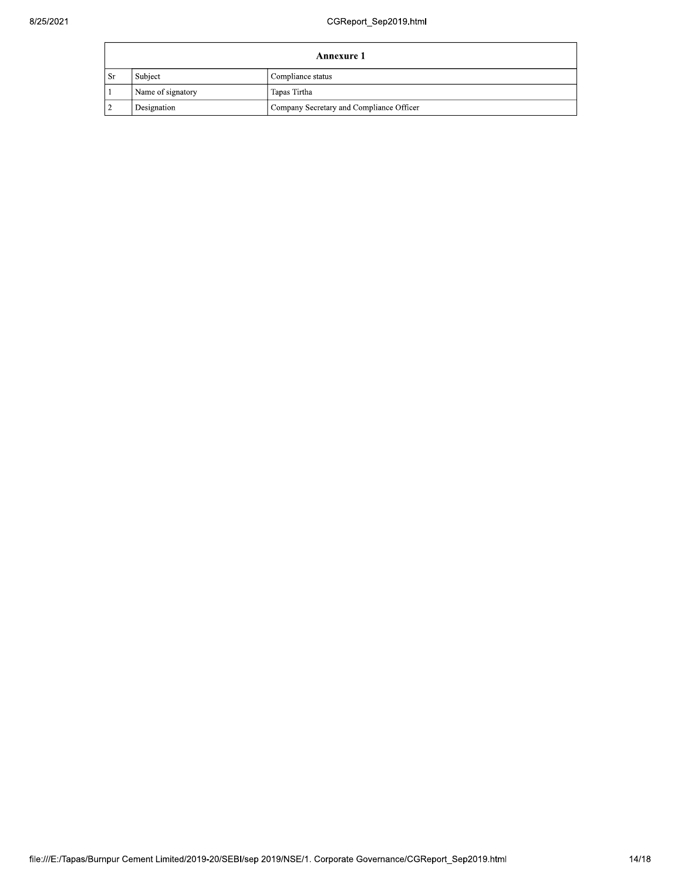| Annexure 1 |                   |                                          |  |  |
|------------|-------------------|------------------------------------------|--|--|
| Sr         | Subject           | Compliance status                        |  |  |
|            | Name of signatory | Tapas Tirtha                             |  |  |
|            | Designation       | Company Secretary and Compliance Officer |  |  |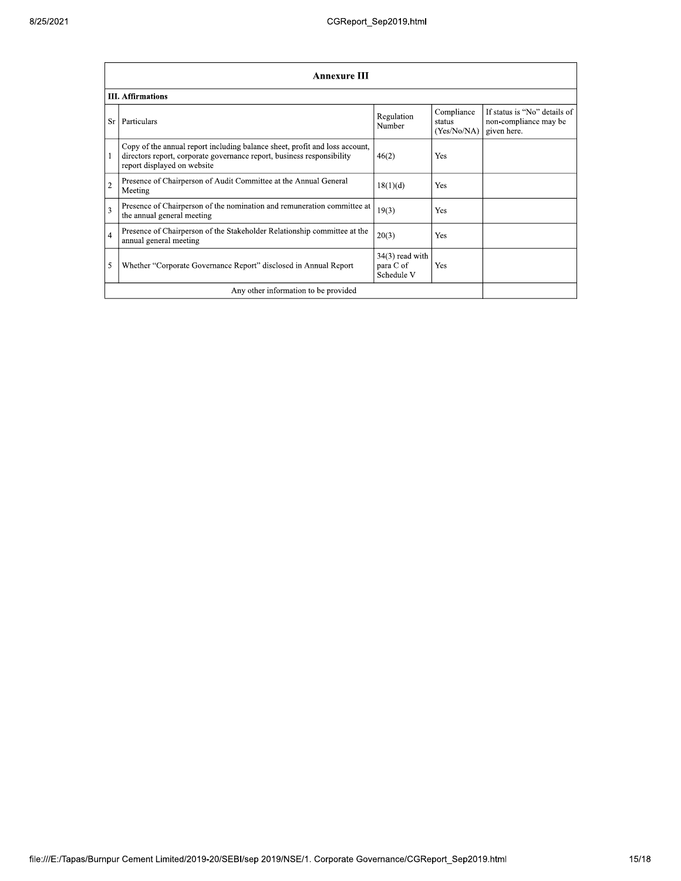|                                      | <b>Annexure III</b>                                                                                                                                                                  |                                              |                                     |                                                                      |  |  |  |
|--------------------------------------|--------------------------------------------------------------------------------------------------------------------------------------------------------------------------------------|----------------------------------------------|-------------------------------------|----------------------------------------------------------------------|--|--|--|
|                                      | <b>III.</b> Affirmations                                                                                                                                                             |                                              |                                     |                                                                      |  |  |  |
| Sr                                   | Particulars                                                                                                                                                                          | Regulation<br>Number                         | Compliance<br>status<br>(Yes/No/NA) | If status is "No" details of<br>non-compliance may be<br>given here. |  |  |  |
|                                      | Copy of the annual report including balance sheet, profit and loss account,<br>directors report, corporate governance report, business responsibility<br>report displayed on website | 46(2)                                        | Yes                                 |                                                                      |  |  |  |
| $\overline{2}$                       | Presence of Chairperson of Audit Committee at the Annual General<br>Meeting                                                                                                          | 18(1)(d)                                     | Yes                                 |                                                                      |  |  |  |
| 3                                    | Presence of Chairperson of the nomination and remuneration committee at<br>the annual general meeting                                                                                | 19(3)                                        | Yes                                 |                                                                      |  |  |  |
| $\overline{4}$                       | Presence of Chairperson of the Stakeholder Relationship committee at the<br>annual general meeting                                                                                   | 20(3)                                        | <b>Yes</b>                          |                                                                      |  |  |  |
| 5                                    | Whether "Corporate Governance Report" disclosed in Annual Report                                                                                                                     | $34(3)$ read with<br>para C of<br>Schedule V | <b>Yes</b>                          |                                                                      |  |  |  |
| Any other information to be provided |                                                                                                                                                                                      |                                              |                                     |                                                                      |  |  |  |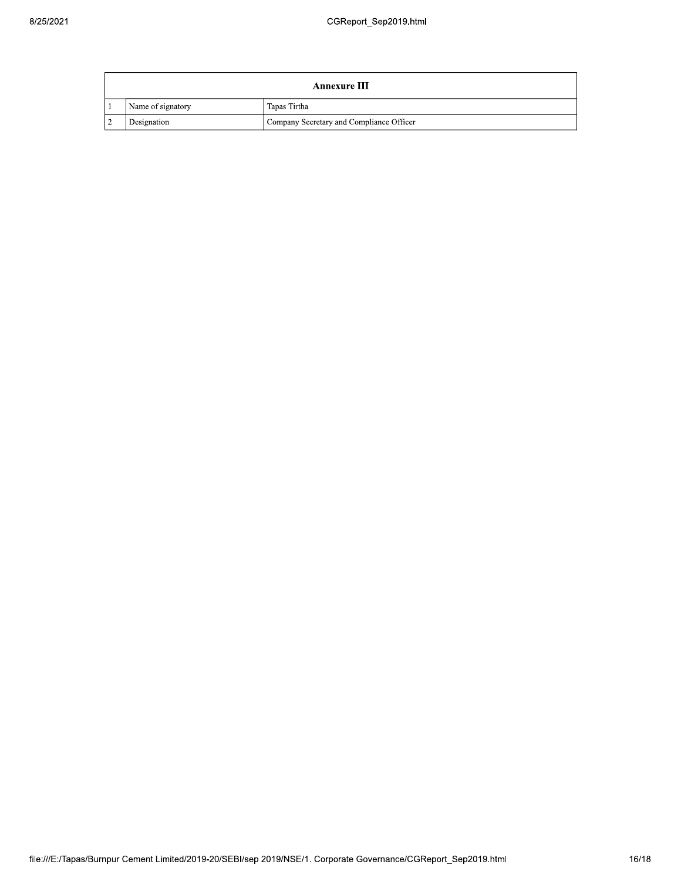| <b>Annexure III</b> |                   |                                          |
|---------------------|-------------------|------------------------------------------|
|                     | Name of signatory | Tapas Tirtha                             |
| $\mathcal{L}$       | Designation       | Company Secretary and Compliance Officer |